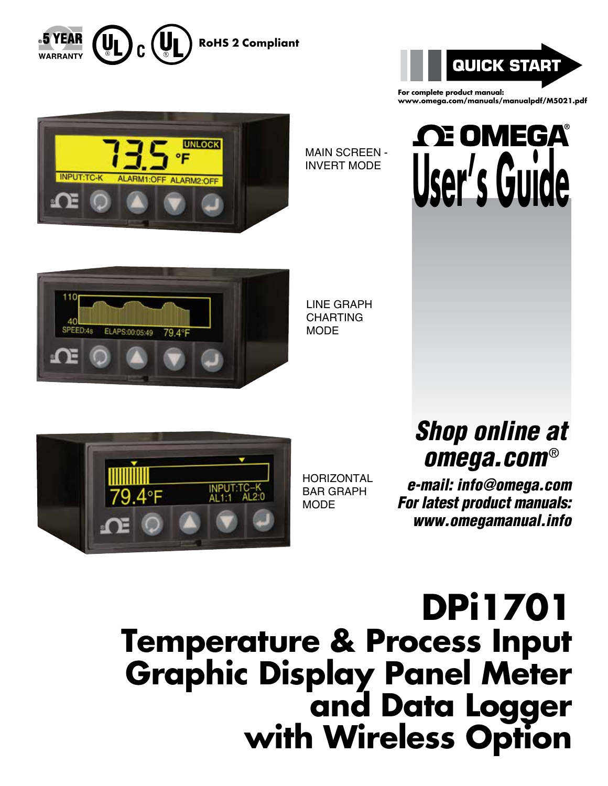



**For complete product manual: www.omega.com/manuals/manualpdf/M5021.pdf**



MAIN SCREEN - INVERT MODE





LINE GRAPH CHARTING MODE



**HORIZONTAL** BAR GRAPH MODE

# *Shop online at omega.com* ®

 *e-mail: info@omega.com For latest product manuals: www.omegamanual.info*

**DPi1701 Temperature & Process Input Graphic Display Panel Meter and Data Logger with Wireless Option**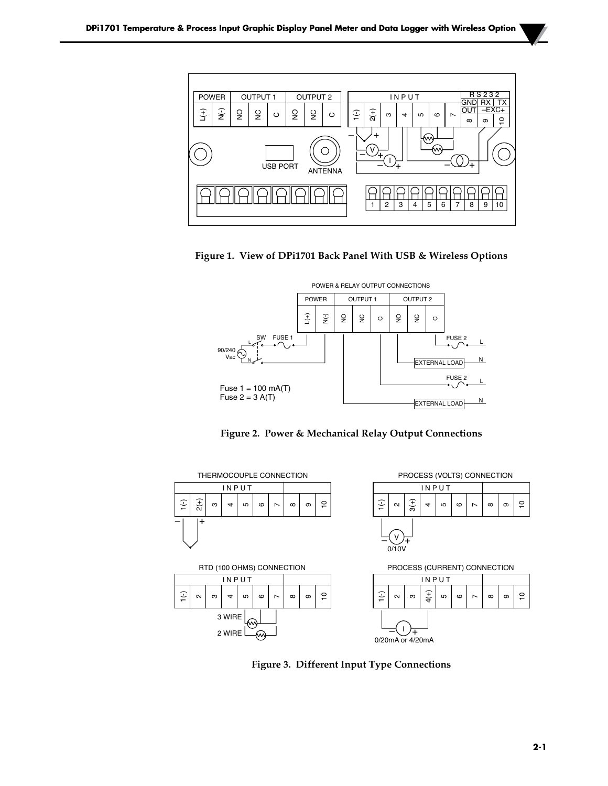







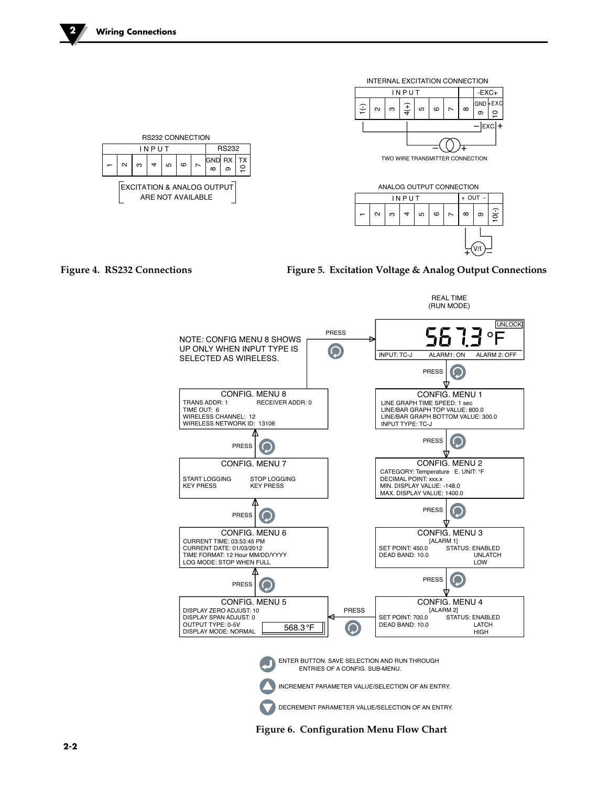



Figure 4. RS232 Connections **Figure 5. Excitation Voltage & Analog Output Connections** 



**Figure 6. Configuration Menu Flow Chart**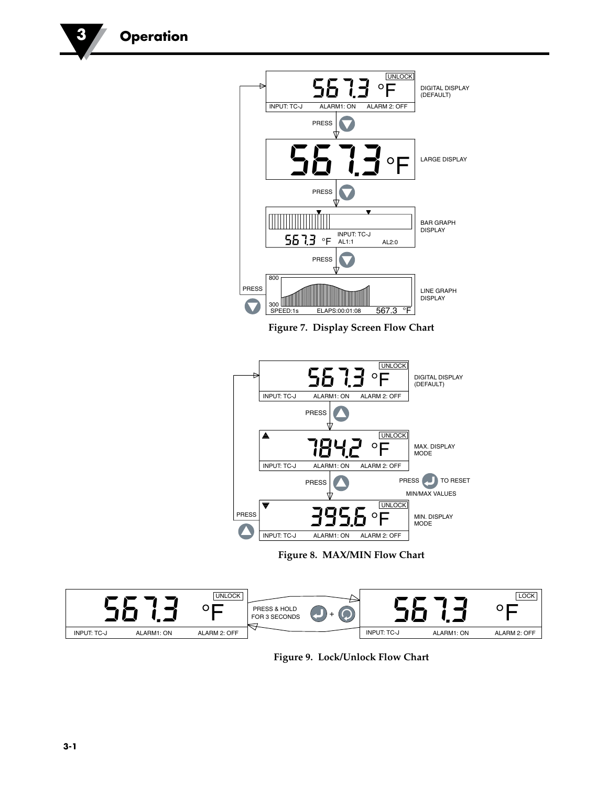

**Figure 9. Lock/Unlock Flow Chart**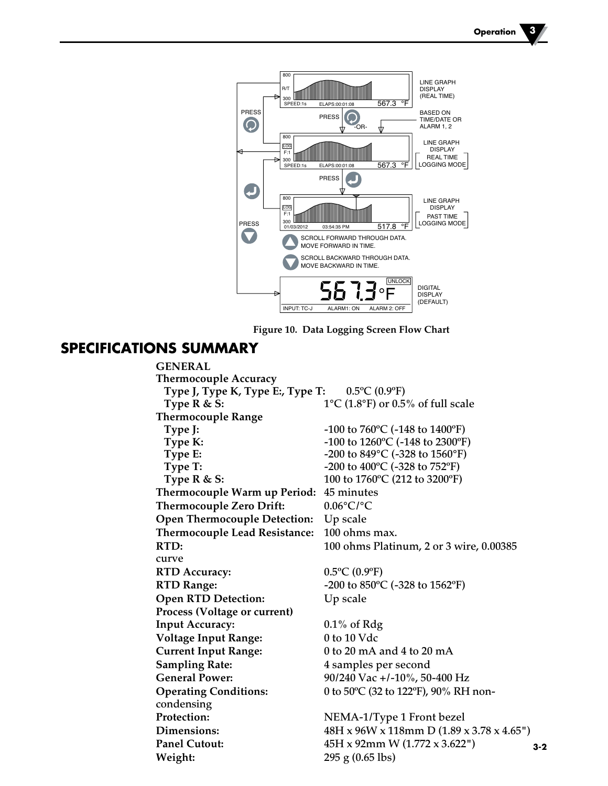**-3-2**



**Figure 10. Data Logging Screen Flow Chart**

#### **SPECIFICATIONS SUMMARY**

**GENERAL Thermocouple Accuracy Type J, Type K, Type E:, Type T:** 0.5ºC (0.9ºF) **Type R & S:** 1°C (1.8°F) or 0.5% of full scale **Thermocouple Range Type J:**  $-100 \text{ to } 760^{\circ} \text{C}$  (-148 to 1400°F) **Type K:**  $-100$  to  $1260^{\circ}$ C (-148 to  $2300^{\circ}$ F) **Type E:**  $-200$  to 849<sup>°</sup>C (-328 to 1560<sup>°</sup>F) **Type T:**  $-200$  to  $400^{\circ}$ C ( $-328$  to  $752^{\circ}$ F) **Type R & S:** 100 to 1760°C (212 to 3200°F) **Thermocouple Warm up Period:** 45 minutes **Thermocouple Zero Drift:** 0.06°C/°C **Open Thermocouple Detection:** Up scale **Thermocouple Lead Resistance:** 100 ohms max. **RTD:** 100 ohms Platinum, 2 or 3 wire, 0.00385 curve **RTD Accuracy:** 0.5ºC (0.9ºF) **RTD Range:** -200 to 850ºC (-328 to 1562ºF) **Open RTD Detection:** Up scale **Process (Voltage or current) Input Accuracy:** 0.1% of Rdg **Voltage Input Range:** 0 to 10 Vdc **Current Input Range:** 0 to 20 mA and 4 to 20 mA **Sampling Rate:** 4 samples per second **General Power:** 90/240 Vac +/-10%, 50-400 Hz **Operating Conditions:** 0 to 50ºC (32 to 122ºF), 90% RH noncondensing Protection: NEMA-1/Type 1 Front bezel **Dimensions:** 48H x 96W x 118mm D (1.89 x 3.78 x 4.65") **Panel Cutout:** 45H x 92mm W (1.772 x 3.622") **Weight:** 295 g (0.65 lbs)